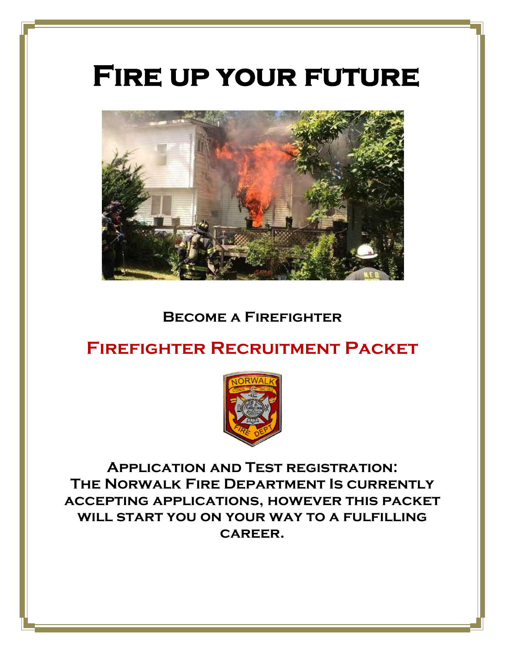# **Fire up your future**



### **Become a Firefighter**

# **Firefighter Recruitment Packet**



**Application and Test registration: The Norwalk Fire Department Is currently accepting applications, however this packet will start you on your way to a fulfilling career.**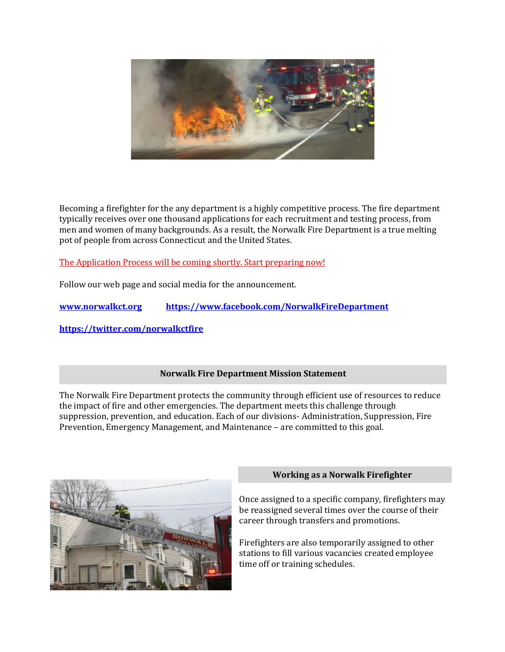

Becoming a firefighter for the any department is a highly competitive process. The fire department typically receives over one thousand applications for each recruitment and testing process, from men and women of many backgrounds. As a result, the Norwalk Fire Department is a true melting pot of people from across Connecticut and the United States.

The Application Process will be coming shortly. Start preparing now!

Follow our web page and social media for the announcement.

**[www.norwalkct.org](http://www.norwalkct.org/) <https://www.facebook.com/NorwalkFireDepartment>**

**<https://twitter.com/norwalkctfire>**

#### **Norwalk Fire Department Mission Statement**

The Norwalk Fire Department protects the community through efficient use of resources to reduce the impact of fire and other emergencies. The department meets this challenge through suppression, prevention, and education. Each of our divisions- Administration, Suppression, Fire Prevention, Emergency Management, and Maintenance – are committed to this goal.



#### **Working as a Norwalk Firefighter**

Once assigned to a specific company, firefighters may be reassigned several times over the course of their career through transfers and promotions.

Firefighters are also temporarily assigned to other stations to fill various vacancies created employee time off or training schedules.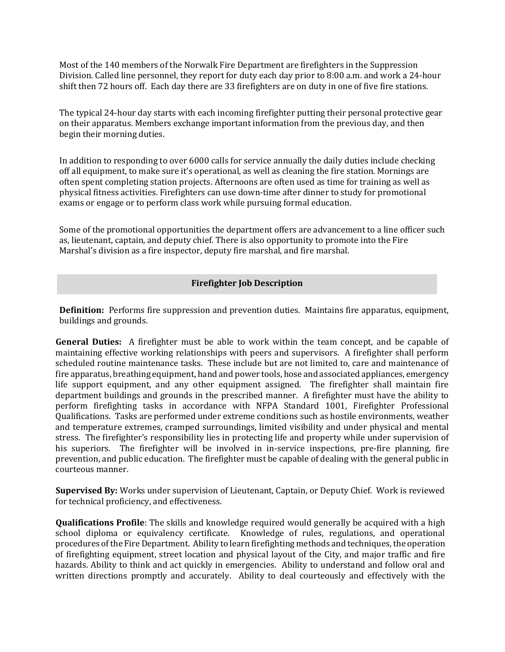Most of the 140 members of the Norwalk Fire Department are firefighters in the Suppression Division. Called line personnel, they report for duty each day prior to 8:00 a.m. and work a 24-hour shift then 72 hours off. Each day there are 33 firefighters are on duty in one of five fire stations.

The typical 24-hour day starts with each incoming firefighter putting their personal protective gear on their apparatus. Members exchange important information from the previous day, and then begin their morning duties.

In addition to responding to over 6000 calls for service annually the daily duties include checking off all equipment, to make sure it's operational, as well as cleaning the fire station. Mornings are often spent completing station projects. Afternoons are often used as time for training as well as physical fitness activities. Firefighters can use down-time after dinner to study for promotional exams or engage or to perform class work while pursuing formal education.

Some of the promotional opportunities the department offers are advancement to a line officer such as, lieutenant, captain, and deputy chief. There is also opportunity to promote into the Fire Marshal's division as a fire inspector, deputy fire marshal, and fire marshal.

#### **Firefighter Job Description**

**Definition:** Performs fire suppression and prevention duties. Maintains fire apparatus, equipment, buildings and grounds.

**General Duties:** A firefighter must be able to work within the team concept, and be capable of maintaining effective working relationships with peers and supervisors. A firefighter shall perform scheduled routine maintenance tasks. These include but are not limited to, care and maintenance of fire apparatus, breathing equipment, hand and power tools, hose and associated appliances, emergency life support equipment, and any other equipment assigned. The firefighter shall maintain fire department buildings and grounds in the prescribed manner. A firefighter must have the ability to perform firefighting tasks in accordance with NFPA Standard 1001, Firefighter Professional Qualifications. Tasks are performed under extreme conditions such as hostile environments, weather and temperature extremes, cramped surroundings, limited visibility and under physical and mental stress. The firefighter's responsibility lies in protecting life and property while under supervision of his superiors. The firefighter will be involved in in-service inspections, pre-fire planning, fire prevention, and public education. The firefighter must be capable of dealing with the general public in courteous manner.

**Supervised By:** Works under supervision of Lieutenant, Captain, or Deputy Chief. Work is reviewed for technical proficiency, and effectiveness.

**Qualifications Profile**: The skills and knowledge required would generally be acquired with a high school diploma or equivalency certificate. Knowledge of rules, regulations, and operational procedures of the Fire Department. Ability to learn firefighting methods and techniques, the operation of firefighting equipment, street location and physical layout of the City, and major traffic and fire hazards. Ability to think and act quickly in emergencies. Ability to understand and follow oral and written directions promptly and accurately. Ability to deal courteously and effectively with the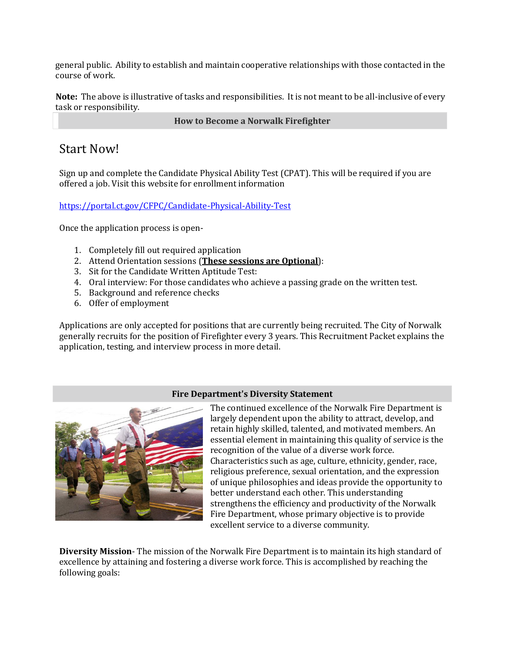general public. Ability to establish and maintain cooperative relationships with those contacted in the course of work.

**Note:** The above is illustrative of tasks and responsibilities. It is not meant to be all-inclusive of every task or responsibility.

**How to Become a Norwalk Firefighter**

### Start Now!

Sign up and complete the Candidate Physical Ability Test (CPAT). This will be required if you are offered a job. Visit this website for enrollment information

<https://portal.ct.gov/CFPC/Candidate-Physical-Ability-Test>

Once the application process is open-

- 1. Completely fill out required application
- 2. Attend Orientation sessions (**These sessions are Optional**):
- 3. Sit for the Candidate Written Aptitude Test:
- 4. Oral interview: For those candidates who achieve a passing grade on the written test.
- 5. Background and reference checks
- 6. Offer of employment

Applications are only accepted for positions that are currently being recruited. The City of Norwalk generally recruits for the position of Firefighter every 3 years. This Recruitment Packet explains the application, testing, and interview process in more detail.

#### **Fire Department's Diversity Statement**



The continued excellence of the Norwalk Fire Department is largely dependent upon the ability to attract, develop, and retain highly skilled, talented, and motivated members. An essential element in maintaining this quality of service is the recognition of the value of a diverse work force. Characteristics such as age, culture, ethnicity, gender, race, religious preference, sexual orientation, and the expression of unique philosophies and ideas provide the opportunity to better understand each other. This understanding strengthens the efficiency and productivity of the Norwalk Fire Department, whose primary objective is to provide excellent service to a diverse community.

**Diversity Mission**- The mission of the Norwalk Fire Department is to maintain its high standard of excellence by attaining and fostering a diverse work force. This is accomplished by reaching the following goals: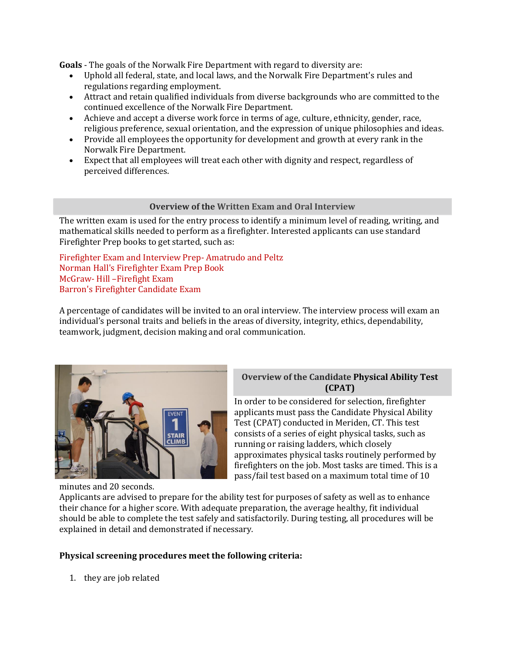**Goals** - The goals of the Norwalk Fire Department with regard to diversity are:

- Uphold all federal, state, and local laws, and the Norwalk Fire Department's rules and regulations regarding employment.
- Attract and retain qualified individuals from diverse backgrounds who are committed to the continued excellence of the Norwalk Fire Department.
- Achieve and accept a diverse work force in terms of age, culture, ethnicity, gender, race, religious preference, sexual orientation, and the expression of unique philosophies and ideas.
- Provide all employees the opportunity for development and growth at every rank in the Norwalk Fire Department.
- Expect that all employees will treat each other with dignity and respect, regardless of perceived differences.

#### **Overview of the Written Exam and Oral Interview**

The written exam is used for the entry process to identify a minimum level of reading, writing, and mathematical skills needed to perform as a firefighter. Interested applicants can use standard Firefighter Prep books to get started, such as:

Firefighter Exam and Interview Prep- Amatrudo and Peltz Norman Hall's Firefighter Exam Prep Book McGraw- Hill –Firefight Exam Barron's Firefighter Candidate Exam

A percentage of candidates will be invited to an oral interview. The interview process will exam an individual's personal traits and beliefs in the areas of diversity, integrity, ethics, dependability, teamwork, judgment, decision making and oral communication.



#### **Overview of the Candidate Physical Ability Test (CPAT)**

In order to be considered for selection, firefighter applicants must pass the Candidate Physical Ability Test (CPAT) conducted in Meriden, CT. This test consists of a series of eight physical tasks, such as running or raising ladders, which closely approximates physical tasks routinely performed by firefighters on the job. Most tasks are timed. This is a pass/fail test based on a maximum total time of 10

Applicants are advised to prepare for the ability test for purposes of safety as well as to enhance their chance for a higher score. With adequate preparation, the average healthy, fit individual should be able to complete the test safely and satisfactorily. During testing, all procedures will be explained in detail and demonstrated if necessary.

#### **Physical screening procedures meet the following criteria:**

1. they are job related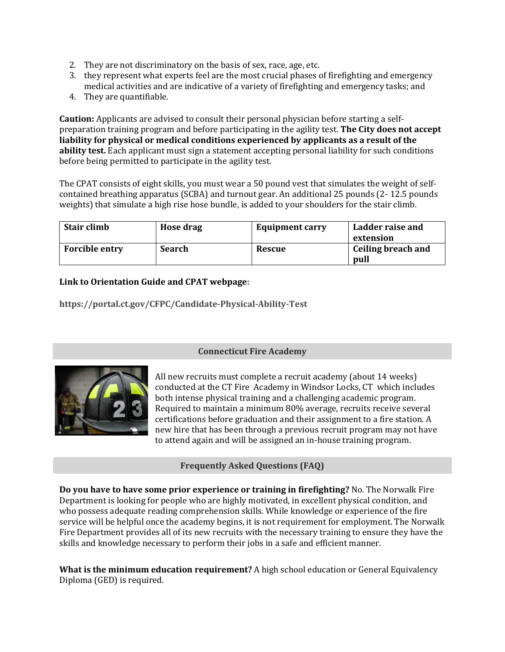- 2. They are not discriminatory on the basis of sex, race, age, etc.
- 3. they represent what experts feel are the most crucial phases of firefighting and emergency medical activities and are indicative of a variety of firefighting and emergency tasks; and
- 4. They are quantifiable.

**Caution:** Applicants are advised to consult their personal physician before starting a selfpreparation training program and before participating in the agility test. **The City does not accept liability for physical or medical conditions experienced by applicants as a result of the ability test.** Each applicant must sign a statement accepting personal liability for such conditions before being permitted to participate in the agility test.

The CPAT consists of eight skills, you must wear a 50 pound vest that simulates the weight of selfcontained breathing apparatus (SCBA) and turnout gear. An additional 25 pounds (2- 12.5 pounds weights) that simulate a high rise hose bundle, is added to your shoulders for the stair climb.

| Stair climb           | Hose drag     | <b>Equipment carry</b> | Ladder raise and<br>extension |
|-----------------------|---------------|------------------------|-------------------------------|
| <b>Forcible entry</b> | <b>Search</b> | Rescue                 | Ceiling breach and<br>pull    |

#### **Link to Orientation Guide and CPAT webpage:**

**https://portal.ct.gov/CFPC/Candidate-Physical-Ability-Test**



#### **Connecticut Fire Academy**

All new recruits must complete a recruit academy (about 14 weeks) conducted at the [CT](http://www.raleighnc.gov/safety/content/Fire/Articles/FireStations.html) Fire Academy in Windsor Locks, CT which includes both intense physical training and a challenging academic program. Required to maintain a minimum 80% average, recruits receive several certifications before graduation and their assignment to a fire station. A new hire that has been through a previous recruit program may not have to attend again and will be assigned an in-house training program.

#### **Frequently Asked Questions (FAQ)**

**Do you have to have some prior experience or training in firefighting?** No. The Norwalk Fire Department is looking for people who are highly motivated, in excellent physical condition, and who possess adequate reading comprehension skills. While knowledge or experience of the fire service will be helpful once the academy begins, it is not requirement for employment. The Norwalk Fire Department provides all of its new recruits with the necessary training to ensure they have the skills and knowledge necessary to perform their jobs in a safe and efficient manner.

**What is the minimum education requirement?** A high school education or General Equivalency Diploma (GED) is required.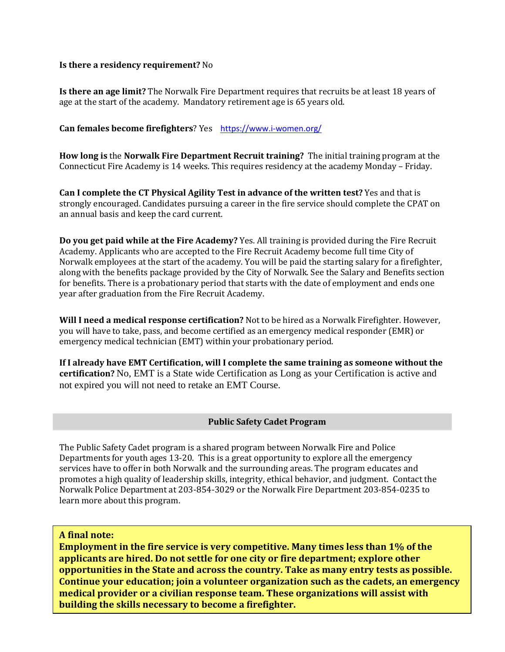#### **Is there a residency requirement?** No

**Is there an age limit?** The Norwalk Fire Department requires that recruits be at least 18 years of age at the start of the academy. Mandatory retirement age is 65 years old.

#### **Can females become firefighters**? Yes <https://www.i-women.org/>

**How long is** the **Norwalk Fire Department Recruit training?** The initial training program at the Connecticut Fire Academy is 14 weeks. This requires residency at the academy Monday – Friday.

**Can I complete the CT Physical Agility Test in advance of the written test?** Yes and that is strongly encouraged. Candidates pursuing a career in the fire service should complete the CPAT on an annual basis and keep the card current.

**Do you get paid while at the Fire Academy?** Yes. All training is provided during the Fire Recruit Academy. Applicants who are accepted to the Fire Recruit Academy become full time City of Norwalk employees at the start of the academy. You will be paid the starting salary for a firefighter, along with the benefits package provided by the City of Norwalk. See the Salary and Benefits section for benefits. There is a probationary period that starts with the date of employment and ends one year after graduation from the Fire Recruit Academy.

**Will I need a medical response certification?** Not to be hired as a Norwalk Firefighter. However, you will have to take, pass, and become certified as an emergency medical responder (EMR) or emergency medical technician (EMT) within your probationary period.

**If I already have EMT Certification, will I complete the same training as someone without the certification?** No, EMT is a State wide Certification as Long as your Certification is active and not expired you will not need to retake an EMT Course.

#### **Public Safety Cadet Program**

The Public Safety Cadet program is a shared program between Norwalk Fire and Police Departments for youth ages 13-20. This is a great opportunity to explore all the emergency services have to offer in both Norwalk and the surrounding areas. The program educates and promotes a high quality of leadership skills, integrity, ethical behavior, and judgment. Contact the Norwalk Police Department at 203-854-3029 or the Norwalk Fire Department 203-854-0235 to learn more about this program.

#### **A final note:**

**Employment in the fire service is very competitive. Many times less than 1% of the applicants are hired. Do not settle for one city or fire department; explore other opportunities in the State and across the country. Take as many entry tests as possible. Continue your education; join a volunteer organization such as the cadets, an emergency medical provider or a civilian response team. These organizations will assist with building the skills necessary to become a firefighter.**